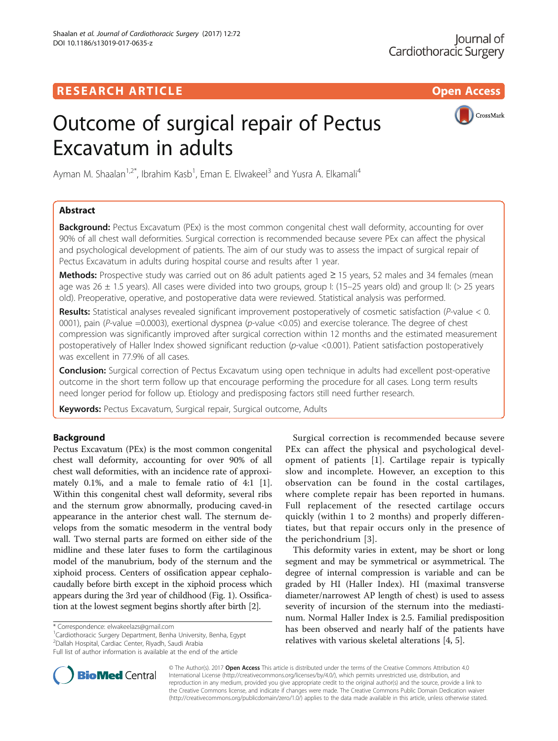CrossMark

# **RESEARCH ARTICLE Example 2018 12:30 THE OPEN ACCESS**

# Outcome of surgical repair of Pectus Excavatum in adults

Ayman M. Shaalan<sup>1,2\*</sup>, Ibrahim Kasb<sup>1</sup>, Eman E. Elwakeel<sup>3</sup> and Yusra A. Elkamali<sup>4</sup>

## Abstract

**Background:** Pectus Excavatum (PEx) is the most common congenital chest wall deformity, accounting for over 90% of all chest wall deformities. Surgical correction is recommended because severe PEx can affect the physical and psychological development of patients. The aim of our study was to assess the impact of surgical repair of Pectus Excavatum in adults during hospital course and results after 1 year.

Methods: Prospective study was carried out on 86 adult patients aged ≥ 15 years, 52 males and 34 females (mean age was 26  $\pm$  1.5 years). All cases were divided into two groups, group I: (15–25 years old) and group II: (> 25 years old). Preoperative, operative, and postoperative data were reviewed. Statistical analysis was performed.

Results: Statistical analyses revealed significant improvement postoperatively of cosmetic satisfaction ( $P$ -value < 0. 0001), pain (P-value =0.0003), exertional dyspnea (p-value <0.05) and exercise tolerance. The degree of chest compression was significantly improved after surgical correction within 12 months and the estimated measurement postoperatively of Haller Index showed significant reduction (p-value <0.001). Patient satisfaction postoperatively was excellent in 77.9% of all cases.

**Conclusion:** Surgical correction of Pectus Excavatum using open technique in adults had excellent post-operative outcome in the short term follow up that encourage performing the procedure for all cases. Long term results need longer period for follow up. Etiology and predisposing factors still need further research.

Keywords: Pectus Excavatum, Surgical repair, Surgical outcome, Adults

## Background

Pectus Excavatum (PEx) is the most common congenital chest wall deformity, accounting for over 90% of all chest wall deformities, with an incidence rate of approximately 0.1%, and a male to female ratio of 4:1 [\[1](#page-9-0)]. Within this congenital chest wall deformity, several ribs and the sternum grow abnormally, producing caved-in appearance in the anterior chest wall. The sternum develops from the somatic mesoderm in the ventral body wall. Two sternal parts are formed on either side of the midline and these later fuses to form the cartilaginous model of the manubrium, body of the sternum and the xiphoid process. Centers of ossification appear cephalocaudally before birth except in the xiphoid process which appears during the 3rd year of childhood (Fig. [1\)](#page-1-0). Ossification at the lowest segment begins shortly after birth [\[2](#page-9-0)].

\* Correspondence: [elwakeelazs@gmail.com](mailto:elwakeelazs@gmail.com) <sup>1</sup>

<sup>1</sup>Cardiothoracic Surgery Department, Benha University, Benha, Egypt 2 Dallah Hospital, Cardiac Center, Riyadh, Saudi Arabia

Full list of author information is available at the end of the article



Surgical correction is recommended because severe PEx can affect the physical and psychological development of patients [[1\]](#page-9-0). Cartilage repair is typically slow and incomplete. However, an exception to this observation can be found in the costal cartilages, where complete repair has been reported in humans. Full replacement of the resected cartilage occurs quickly (within 1 to 2 months) and properly differentiates, but that repair occurs only in the presence of the perichondrium [[3](#page-9-0)].

This deformity varies in extent, may be short or long segment and may be symmetrical or asymmetrical. The degree of internal compression is variable and can be graded by HI (Haller Index). HI (maximal transverse diameter/narrowest AP length of chest) is used to assess severity of incursion of the sternum into the mediastinum. Normal Haller Index is 2.5. Familial predisposition has been observed and nearly half of the patients have relatives with various skeletal alterations [[4, 5\]](#page-9-0).

© The Author(s). 2017 **Open Access** This article is distributed under the terms of the Creative Commons Attribution 4.0 International License [\(http://creativecommons.org/licenses/by/4.0/](http://creativecommons.org/licenses/by/4.0/)), which permits unrestricted use, distribution, and reproduction in any medium, provided you give appropriate credit to the original author(s) and the source, provide a link to the Creative Commons license, and indicate if changes were made. The Creative Commons Public Domain Dedication waiver [\(http://creativecommons.org/publicdomain/zero/1.0/](http://creativecommons.org/publicdomain/zero/1.0/)) applies to the data made available in this article, unless otherwise stated.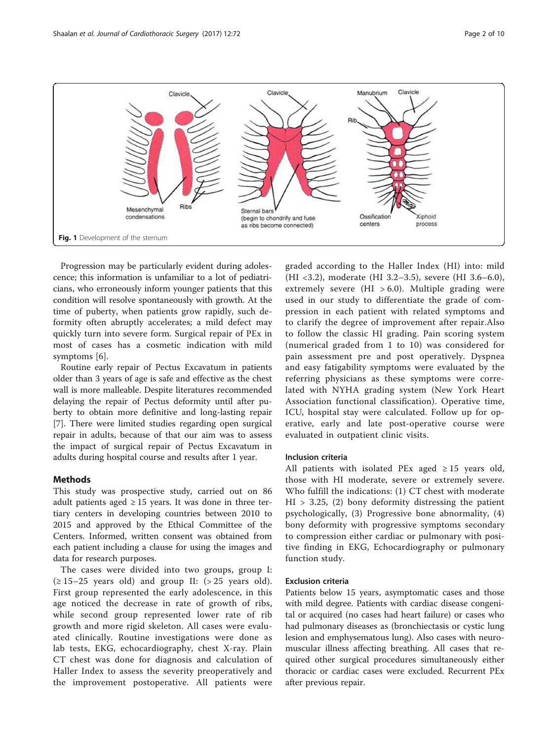<span id="page-1-0"></span>

Progression may be particularly evident during adolescence; this information is unfamiliar to a lot of pediatricians, who erroneously inform younger patients that this condition will resolve spontaneously with growth. At the time of puberty, when patients grow rapidly, such deformity often abruptly accelerates; a mild defect may quickly turn into severe form. Surgical repair of PEx in most of cases has a cosmetic indication with mild symptoms [\[6](#page-9-0)].

Routine early repair of Pectus Excavatum in patients older than 3 years of age is safe and effective as the chest wall is more malleable. Despite literatures recommended delaying the repair of Pectus deformity until after puberty to obtain more definitive and long-lasting repair [[7\]](#page-9-0). There were limited studies regarding open surgical repair in adults, because of that our aim was to assess the impact of surgical repair of Pectus Excavatum in adults during hospital course and results after 1 year.

## **Methods**

This study was prospective study, carried out on 86 adult patients aged  $\geq 15$  years. It was done in three tertiary centers in developing countries between 2010 to 2015 and approved by the Ethical Committee of the Centers. Informed, written consent was obtained from each patient including a clause for using the images and data for research purposes.

The cases were divided into two groups, group I: (≥ 15–25 years old) and group II: (> 25 years old). First group represented the early adolescence, in this age noticed the decrease in rate of growth of ribs, while second group represented lower rate of rib growth and more rigid skeleton. All cases were evaluated clinically. Routine investigations were done as lab tests, EKG, echocardiography, chest X-ray. Plain CT chest was done for diagnosis and calculation of Haller Index to assess the severity preoperatively and the improvement postoperative. All patients were graded according to the Haller Index (HI) into: mild (HI <3.2), moderate (HI 3.2–3.5), severe (HI 3.6–6.0), extremely severe (HI  $> 6.0$ ). Multiple grading were used in our study to differentiate the grade of compression in each patient with related symptoms and to clarify the degree of improvement after repair.Also to follow the classic HI grading. Pain scoring system (numerical graded from 1 to 10) was considered for pain assessment pre and post operatively. Dyspnea and easy fatigability symptoms were evaluated by the referring physicians as these symptoms were correlated with NYHA grading system (New York Heart Association functional classification). Operative time, ICU, hospital stay were calculated. Follow up for operative, early and late post-operative course were evaluated in outpatient clinic visits.

### Inclusion criteria

All patients with isolated PEx aged  $\geq 15$  years old, those with HI moderate, severe or extremely severe. Who fulfill the indications: (1) CT chest with moderate  $HI > 3.25$ , (2) bony deformity distressing the patient psychologically, (3) Progressive bone abnormality, (4) bony deformity with progressive symptoms secondary to compression either cardiac or pulmonary with positive finding in EKG, Echocardiography or pulmonary function study.

## Exclusion criteria

Patients below 15 years, asymptomatic cases and those with mild degree. Patients with cardiac disease congenital or acquired (no cases had heart failure) or cases who had pulmonary diseases as (bronchiectasis or cystic lung lesion and emphysematous lung). Also cases with neuromuscular illness affecting breathing. All cases that required other surgical procedures simultaneously either thoracic or cardiac cases were excluded. Recurrent PEx after previous repair.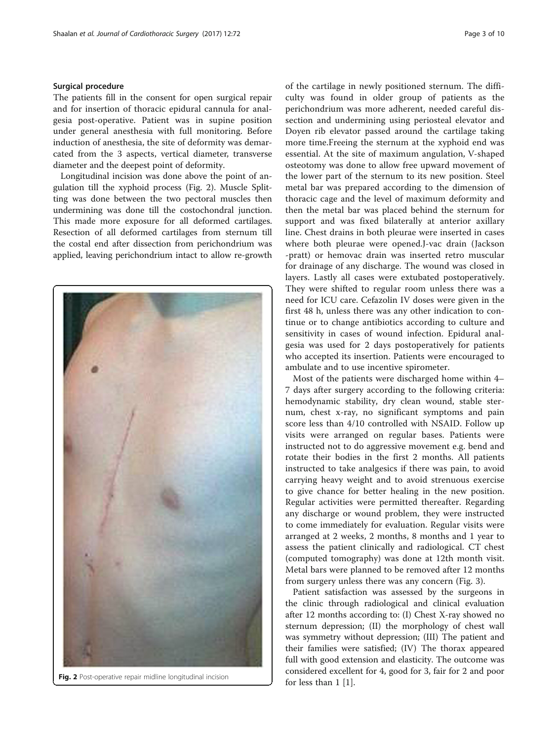## Surgical procedure

The patients fill in the consent for open surgical repair and for insertion of thoracic epidural cannula for analgesia post-operative. Patient was in supine position under general anesthesia with full monitoring. Before induction of anesthesia, the site of deformity was demarcated from the 3 aspects, vertical diameter, transverse diameter and the deepest point of deformity.

Longitudinal incision was done above the point of angulation till the xyphoid process (Fig. 2). Muscle Splitting was done between the two pectoral muscles then undermining was done till the costochondral junction. This made more exposure for all deformed cartilages. Resection of all deformed cartilages from sternum till the costal end after dissection from perichondrium was applied, leaving perichondrium intact to allow re-growth



Fig. 2 Post-operative repair midline longitudinal incision for less than 1 [\[1\]](#page-9-0).

of the cartilage in newly positioned sternum. The difficulty was found in older group of patients as the perichondrium was more adherent, needed careful dissection and undermining using periosteal elevator and Doyen rib elevator passed around the cartilage taking more time.Freeing the sternum at the xyphoid end was essential. At the site of maximum angulation, V-shaped osteotomy was done to allow free upward movement of the lower part of the sternum to its new position. Steel metal bar was prepared according to the dimension of thoracic cage and the level of maximum deformity and then the metal bar was placed behind the sternum for support and was fixed bilaterally at anterior axillary line. Chest drains in both pleurae were inserted in cases where both pleurae were opened.J-vac drain (Jackson -pratt) or hemovac drain was inserted retro muscular for drainage of any discharge. The wound was closed in layers. Lastly all cases were extubated postoperatively. They were shifted to regular room unless there was a need for ICU care. Cefazolin IV doses were given in the first 48 h, unless there was any other indication to continue or to change antibiotics according to culture and sensitivity in cases of wound infection. Epidural analgesia was used for 2 days postoperatively for patients who accepted its insertion. Patients were encouraged to ambulate and to use incentive spirometer.

Most of the patients were discharged home within 4– 7 days after surgery according to the following criteria: hemodynamic stability, dry clean wound, stable sternum, chest x-ray, no significant symptoms and pain score less than 4/10 controlled with NSAID. Follow up visits were arranged on regular bases. Patients were instructed not to do aggressive movement e.g. bend and rotate their bodies in the first 2 months. All patients instructed to take analgesics if there was pain, to avoid carrying heavy weight and to avoid strenuous exercise to give chance for better healing in the new position. Regular activities were permitted thereafter. Regarding any discharge or wound problem, they were instructed to come immediately for evaluation. Regular visits were arranged at 2 weeks, 2 months, 8 months and 1 year to assess the patient clinically and radiological. CT chest (computed tomography) was done at 12th month visit. Metal bars were planned to be removed after 12 months from surgery unless there was any concern (Fig. [3\)](#page-3-0).

Patient satisfaction was assessed by the surgeons in the clinic through radiological and clinical evaluation after 12 months according to: (I) Chest X-ray showed no sternum depression; (II) the morphology of chest wall was symmetry without depression; (III) The patient and their families were satisfied; (IV) The thorax appeared full with good extension and elasticity. The outcome was considered excellent for 4, good for 3, fair for 2 and poor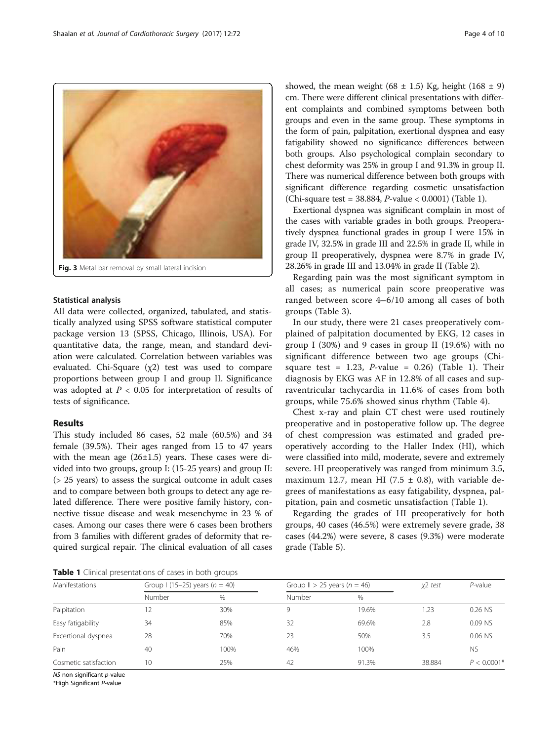<span id="page-3-0"></span>

#### Statistical analysis

All data were collected, organized, tabulated, and statistically analyzed using SPSS software statistical computer package version 13 (SPSS, Chicago, Illinois, USA). For quantitative data, the range, mean, and standard deviation were calculated. Correlation between variables was evaluated. Chi-Square (χ2) test was used to compare proportions between group I and group II. Significance was adopted at  $P < 0.05$  for interpretation of results of tests of significance.

## Results

This study included 86 cases, 52 male (60.5%) and 34 female (39.5%). Their ages ranged from 15 to 47 years with the mean age  $(26\pm1.5)$  years. These cases were divided into two groups, group I: (15-25 years) and group II: (> 25 years) to assess the surgical outcome in adult cases and to compare between both groups to detect any age related difference. There were positive family history, connective tissue disease and weak mesenchyme in 23 % of cases. Among our cases there were 6 cases been brothers from 3 families with different grades of deformity that required surgical repair. The clinical evaluation of all cases

showed, the mean weight (68  $\pm$  1.5) Kg, height (168  $\pm$  9) cm. There were different clinical presentations with different complaints and combined symptoms between both groups and even in the same group. These symptoms in the form of pain, palpitation, exertional dyspnea and easy fatigability showed no significance differences between both groups. Also psychological complain secondary to chest deformity was 25% in group I and 91.3% in group II. There was numerical difference between both groups with significant difference regarding cosmetic unsatisfaction (Chi-square test = 38.884, P-value < 0.0001) (Table 1).

Exertional dyspnea was significant complain in most of the cases with variable grades in both groups. Preoperatively dyspnea functional grades in group I were 15% in grade IV, 32.5% in grade III and 22.5% in grade II, while in group II preoperatively, dyspnea were 8.7% in grade IV, 28.26% in grade III and 13.04% in grade II (Table [2](#page-4-0)).

Regarding pain was the most significant symptom in all cases; as numerical pain score preoperative was ranged between score 4–6/10 among all cases of both groups (Table [3\)](#page-4-0).

In our study, there were 21 cases preoperatively complained of palpitation documented by EKG, 12 cases in group I (30%) and 9 cases in group II (19.6%) with no significant difference between two age groups (Chisquare test = 1.23, *P*-value =  $0.26$ ) (Table 1). Their diagnosis by EKG was AF in 12.8% of all cases and supraventricular tachycardia in 11.6% of cases from both groups, while 75.6% showed sinus rhythm (Table [4\)](#page-5-0).

Chest x-ray and plain CT chest were used routinely preoperative and in postoperative follow up. The degree of chest compression was estimated and graded preoperatively according to the Haller Index (HI), which were classified into mild, moderate, severe and extremely severe. HI preoperatively was ranged from minimum 3.5, maximum 12.7, mean HI (7.5  $\pm$  0.8), with variable degrees of manifestations as easy fatigability, dyspnea, palpitation, pain and cosmetic unsatisfaction (Table 1).

Regarding the grades of HI preoperatively for both groups, 40 cases (46.5%) were extremely severe grade, 38 cases (44.2%) were severe, 8 cases (9.3%) were moderate grade (Table [5](#page-5-0)).

Table 1 Clinical presentations of cases in both groups

| Manifestations        |        | Group I (15–25) years $(n = 40)$ |        | Group II > 25 years ( $n = 46$ ) | x2 test | $P$ -value    |
|-----------------------|--------|----------------------------------|--------|----------------------------------|---------|---------------|
|                       | Number | %                                | Number | %                                |         |               |
| Palpitation           | 12     | 30%                              |        | 19.6%                            | 1.23    | 0.26 NS       |
| Easy fatigability     | 34     | 85%                              | 32     | 69.6%                            | 2.8     | 0.09 NS       |
| Excertional dyspnea   | 28     | 70%                              | 23     | 50%                              | 3.5     | 0.06 NS       |
| Pain                  | 40     | 100%                             | 46%    | 100%                             |         | <b>NS</b>     |
| Cosmetic satisfaction | 10     | 25%                              | 42     | 91.3%                            | 38.884  | $P < 0.0001*$ |

NS non significant *p*-value

\*High Significant P-value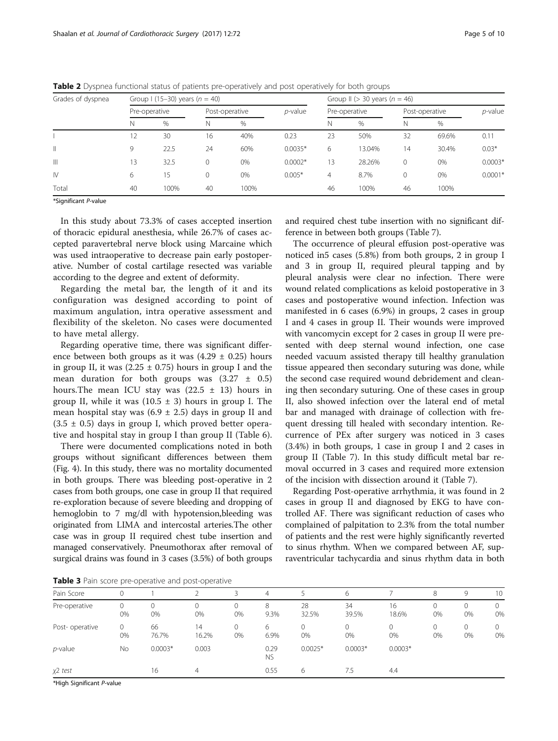| Grades of dyspnea |               | Group I (15-30) years $(n = 40)$ |         |                |           |    | Group II ( $>$ 30 years ( $n = 46$ ) |              |                |           |
|-------------------|---------------|----------------------------------|---------|----------------|-----------|----|--------------------------------------|--------------|----------------|-----------|
|                   | Pre-operative |                                  |         | Post-operative |           |    | Pre-operative                        |              | Post-operative |           |
|                   | N             | %                                | Ν       | $\%$           |           | N  | $\%$                                 | N            | %              |           |
|                   |               | 30                               | 16      | 40%            | 0.23      | 23 | 50%                                  | 32           | 69.6%          | 0.11      |
| $\parallel$       | 9             | 22.5                             | 24      | 60%            | $0.0035*$ | 6  | 13.04%                               | 14           | 30.4%          | $0.03*$   |
| $\mathbb{H}$      | ι3            | 32.5                             | $\circ$ | 0%             | $0.0002*$ | 13 | 28.26%                               | $\mathbf{0}$ | 0%             | $0.0003*$ |
| $\mathsf{IV}$     | 6             | 15                               | 0       | 0%             | $0.005*$  | 4  | 8.7%                                 | 0            | 0%             | $0.0001*$ |
| Total             | 40            | 100%                             | 40      | 100%           |           | 46 | 100%                                 | 46           | 100%           |           |

<span id="page-4-0"></span>Table 2 Dyspnea functional status of patients pre-operatively and post operatively for both groups

\*Significant P-value

In this study about 73.3% of cases accepted insertion of thoracic epidural anesthesia, while 26.7% of cases accepted paravertebral nerve block using Marcaine which was used intraoperative to decrease pain early postoperative. Number of costal cartilage resected was variable according to the degree and extent of deformity.

Regarding the metal bar, the length of it and its configuration was designed according to point of maximum angulation, intra operative assessment and flexibility of the skeleton. No cases were documented to have metal allergy.

Regarding operative time, there was significant difference between both groups as it was  $(4.29 \pm 0.25)$  hours in group II, it was  $(2.25 \pm 0.75)$  hours in group I and the mean duration for both groups was  $(3.27 \pm 0.5)$ hours. The mean ICU stay was  $(22.5 \pm 13)$  hours in group II, while it was  $(10.5 \pm 3)$  hours in group I. The mean hospital stay was  $(6.9 \pm 2.5)$  days in group II and  $(3.5 \pm 0.5)$  days in group I, which proved better operative and hospital stay in group I than group II (Table [6](#page-5-0)).

There were documented complications noted in both groups without significant differences between them (Fig. [4\)](#page-6-0). In this study, there was no mortality documented in both groups. There was bleeding post-operative in 2 cases from both groups, one case in group II that required re-exploration because of severe bleeding and dropping of hemoglobin to 7 mg/dl with hypotension,bleeding was originated from LIMA and intercostal arteries.The other case was in group II required chest tube insertion and managed conservatively. Pneumothorax after removal of surgical drains was found in 3 cases (3.5%) of both groups

and required chest tube insertion with no significant difference in between both groups (Table [7\)](#page-6-0).

The occurrence of pleural effusion post-operative was noticed in5 cases (5.8%) from both groups, 2 in group I and 3 in group II, required pleural tapping and by pleural analysis were clear no infection. There were wound related complications as keloid postoperative in 3 cases and postoperative wound infection. Infection was manifested in 6 cases (6.9%) in groups, 2 cases in group I and 4 cases in group II. Their wounds were improved with vancomycin except for 2 cases in group II were presented with deep sternal wound infection, one case needed vacuum assisted therapy till healthy granulation tissue appeared then secondary suturing was done, while the second case required wound debridement and cleaning then secondary suturing. One of these cases in group II, also showed infection over the lateral end of metal bar and managed with drainage of collection with frequent dressing till healed with secondary intention. Recurrence of PEx after surgery was noticed in 3 cases (3.4%) in both groups, 1 case in group I and 2 cases in group II (Table [7\)](#page-6-0). In this study difficult metal bar removal occurred in 3 cases and required more extension of the incision with dissection around it (Table [7](#page-6-0)).

Regarding Post-operative arrhythmia, it was found in 2 cases in group II and diagnosed by EKG to have controlled AF. There was significant reduction of cases who complained of palpitation to 2.3% from the total number of patients and the rest were highly significantly reverted to sinus rhythm. When we compared between AF, supraventricular tachycardia and sinus rhythm data in both

Table 3 Pain score pre-operative and post-operative

| Pain Score      |         |             |                |         | $\overline{4}$    |             | 6              |             | 8              | 9       | 10                 |
|-----------------|---------|-------------|----------------|---------|-------------------|-------------|----------------|-------------|----------------|---------|--------------------|
| Pre-operative   | 0<br>0% | 0<br>0%     | $\Omega$<br>0% | U<br>0% | 8<br>9.3%         | 28<br>32.5% | 34<br>39.5%    | 16<br>18.6% | 0<br>0%        | 0%      | $\mathbf{0}$<br>0% |
| Post- operative | 0<br>0% | 66<br>76.7% | 14<br>16.2%    | 0<br>0% | 6<br>6.9%         | 0%          | $\Omega$<br>0% | 0<br>0%     | $\Omega$<br>0% | 0<br>0% | $\mathbf{0}$<br>0% |
| <i>p</i> -value | No      | $0.0003*$   | 0.003          |         | 0.29<br><b>NS</b> | $0.0025*$   | $0.0003*$      | $0.0003*$   |                |         |                    |
| $x^2$ test      |         | 16          | $\overline{4}$ |         | 0.55              | 6           | 7.5            | 4.4         |                |         |                    |

\*High Significant P-value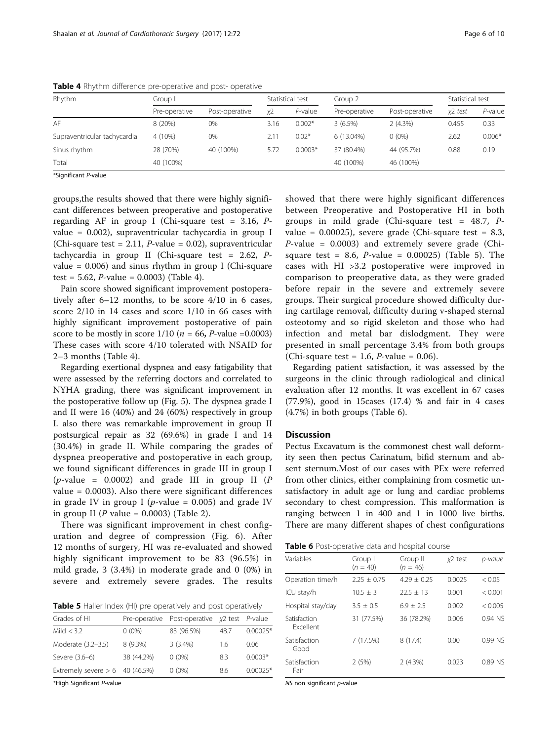| Rhythm                       | Group I       |                |      | Statistical test | Group 2       |                | Statistical test |            |
|------------------------------|---------------|----------------|------|------------------|---------------|----------------|------------------|------------|
|                              | Pre-operative | Post-operative | χ2   | $P$ -value       | Pre-operative | Post-operative | x2 test          | $P$ -value |
| AF                           | 8(20%)        | 0%             | 3.16 | $0.002*$         | $3(6.5\%)$    | 2(4.3%)        | 0.455            | 0.33       |
| Supraventricular tachycardia | 4 (10%)       | 0%             | 2.11 | $0.02*$          | 6 (13.04%)    | $0(0\%)$       | 2.62             | $0.006*$   |
| Sinus rhythm                 | 28 (70%)      | 40 (100%)      | 5.72 | $0.0003*$        | 37 (80.4%)    | 44 (95.7%)     | 0.88             | 0.19       |
| Total                        | 40 (100%)     |                |      |                  | 40 (100%)     | 46 (100%)      |                  |            |
|                              |               |                |      |                  |               |                |                  |            |

<span id="page-5-0"></span>Table 4 Rhythm difference pre-operative and post- operative

\*Significant P-value

groups,the results showed that there were highly significant differences between preoperative and postoperative regarding AF in group I (Chi-square test =  $3.16$ , Pvalue = 0.002), supraventricular tachycardia in group I (Chi-square test = 2.11, *P*-value = 0.02), supraventricular tachycardia in group II (Chi-square test = 2.62, Pvalue =  $0.006$ ) and sinus rhythm in group I (Chi-square test = 5.62, *P*-value = 0.0003) (Table 4).

Pain score showed significant improvement postoperatively after 6–12 months, to be score 4/10 in 6 cases, score 2/10 in 14 cases and score 1/10 in 66 cases with highly significant improvement postoperative of pain score to be mostly in score  $1/10$  ( $n = 66$ , *P*-value =0.0003) These cases with score 4/10 tolerated with NSAID for 2–3 months (Table 4).

Regarding exertional dyspnea and easy fatigability that were assessed by the referring doctors and correlated to NYHA grading, there was significant improvement in the postoperative follow up (Fig. [5](#page-7-0)). The dyspnea grade I and II were 16 (40%) and 24 (60%) respectively in group I. also there was remarkable improvement in group II postsurgical repair as 32 (69.6%) in grade I and 14 (30.4%) in grade II. While comparing the grades of dyspnea preoperative and postoperative in each group, we found significant differences in grade III in group I  $(p$ -value = 0.0002) and grade III in group II (P value = 0.0003). Also there were significant differences in grade IV in group I ( $p$ -value = 0.005) and grade IV in group II (P value =  $0.0003$ ) (Table [2](#page-4-0)).

There was significant improvement in chest configuration and degree of compression (Fig. [6](#page-7-0)). After 12 months of surgery, HI was re-evaluated and showed highly significant improvement to be 83 (96.5%) in mild grade, 3 (3.4%) in moderate grade and 0 (0%) in severe and extremely severe grades. The results

Table 5 Haller Index (HI) pre operatively and post operatively

| Grades of HI                      | Pre-operative | Post-operative $x^2$ test <i>P</i> -value |      |            |
|-----------------------------------|---------------|-------------------------------------------|------|------------|
| Mild $<$ 3.2                      | $0(0\%)$      | 83 (96.5%)                                | 48.7 | $0.00025*$ |
| Moderate (3.2-3.5)                | $8(9.3\%)$    | $3(3.4\%)$                                | 16   | 0.06       |
| Severe (3.6-6)                    | 38 (44.2%)    | $0(0\%)$                                  | 8.3  | $0.0003*$  |
| Extremely severe $> 6$ 40 (46.5%) |               | $0(0\%)$                                  | 8.6  | $0.00025*$ |

\*High Significant P-value

showed that there were highly significant differences between Preoperative and Postoperative HI in both groups in mild grade (Chi-square test =  $48.7$ ,  $P$ value =  $0.00025$ ), severe grade (Chi-square test = 8.3,  $P$ -value = 0.0003) and extremely severe grade (Chisquare test = 8.6,  $P$ -value = 0.00025) (Table 5). The cases with HI >3.2 postoperative were improved in comparison to preoperative data, as they were graded before repair in the severe and extremely severe groups. Their surgical procedure showed difficulty during cartilage removal, difficulty during v-shaped sternal osteotomy and so rigid skeleton and those who had infection and metal bar dislodgment. They were presented in small percentage 3.4% from both groups (Chi-square test = 1.6, *P*-value = 0.06).

Regarding patient satisfaction, it was assessed by the surgeons in the clinic through radiological and clinical evaluation after 12 months. It was excellent in 67 cases (77.9%), good in 15cases (17.4) % and fair in 4 cases (4.7%) in both groups (Table 6).

## **Discussion**

Pectus Excavatum is the commonest chest wall deformity seen then pectus Carinatum, bifid sternum and absent sternum.Most of our cases with PEx were referred from other clinics, either complaining from cosmetic unsatisfactory in adult age or lung and cardiac problems secondary to chest compression. This malformation is ranging between 1 in 400 and 1 in 1000 live births. There are many different shapes of chest configurations

|  | Table 6 Post-operative data and hospital course |  |  |  |
|--|-------------------------------------------------|--|--|--|
|--|-------------------------------------------------|--|--|--|

| Variables                        | Group I<br>$(n = 40)$ | Group II<br>$(n = 46)$ | $x2$ test | p-value   |
|----------------------------------|-----------------------|------------------------|-----------|-----------|
| Operation time/h                 | $2.25 + 0.75$         | $4.29 + 0.25$          | 0.0025    | < 0.05    |
| ICU stay/h                       | $10.5 + 3$            | $22.5 + 13$            | 0.001     | < 0.001   |
| Hospital stay/day                | $3.5 + 0.5$           | $6.9 + 2.5$            | 0.002     | < 0.005   |
| Satisfaction<br><b>Fxcellent</b> | 31 (77.5%)            | 36 (78.2%)             | 0.006     | $0.94$ NS |
| Satisfaction<br>Good             | 7 (17.5%)             | 8(17.4)                | 0.00      | $0.99$ NS |
| Satisfaction<br>Fair             | 2(5%)                 | 2(4.3%)                | 0.023     | 0.89 NS   |

NS non significant p-value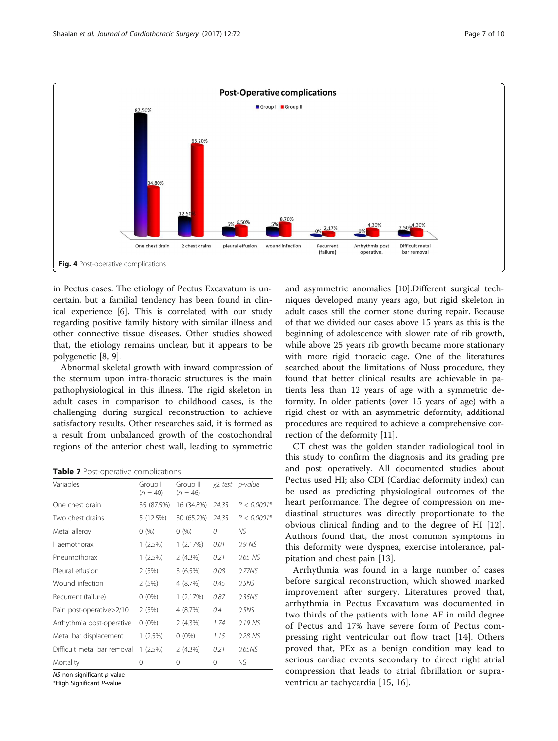<span id="page-6-0"></span>

in Pectus cases. The etiology of Pectus Excavatum is uncertain, but a familial tendency has been found in clinical experience [\[6](#page-9-0)]. This is correlated with our study regarding positive family history with similar illness and other connective tissue diseases. Other studies showed that, the etiology remains unclear, but it appears to be polygenetic [\[8](#page-9-0), [9](#page-9-0)].

Abnormal skeletal growth with inward compression of the sternum upon intra-thoracic structures is the main pathophysiological in this illness. The rigid skeleton in adult cases in comparison to childhood cases, is the challenging during surgical reconstruction to achieve satisfactory results. Other researches said, it is formed as a result from unbalanced growth of the costochondral regions of the anterior chest wall, leading to symmetric

Table 7 Post-operative complications

| Variables                   | Group I<br>$(n = 40)$ | Group II<br>$(n = 46)$ |       | $x^2$ test p-value |
|-----------------------------|-----------------------|------------------------|-------|--------------------|
| One chest drain             | 35 (87.5%)            | 16 (34.8%)             | 24.33 | $P < 0.0001*$      |
| Two chest drains            | 5 (12.5%)             | 30 (65.2%)             | 24.33 | $P < 0.0001*$      |
| Metal allergy               | 0(%)                  | 0(%)                   | 0     | ΝS                 |
| Haemothorax                 | $1(2.5\%)$            | 1(2.17%)               | 0.01  | 0.9 NS             |
| Pneumothorax                | $1(2.5\%)$            | 2(4.3%)                | 0.21  | 0.65 NS            |
| Pleural effusion            | 2(5%)                 | 3(6.5%)                | 0.08  | 0.77NS             |
| Wound infection             | 2(5%)                 | 4 (8.7%)               | 0.45  | 0.5NS              |
| Recurrent (failure)         | $0(0\%)$              | 1(2.17%)               | 0.87  | 0.35NS             |
| Pain post-operative>2/10    | 2(5%)                 | 4 (8.7%)               | 0.4   | 0.5NS              |
| Arrhythmia post-operative.  | $0(0\%)$              | 2(4.3%)                | 1.74  | 0.19 NS            |
| Metal bar displacement      | $1(2.5\%)$            | $0(0\%)$               | 1.15  | 0.28 NS            |
| Difficult metal bar removal | $1(2.5\%)$            | 2(4.3%)                | 0.21  | 0.65NS             |
| Mortality                   | 0                     | 0                      | 0     | ΝS                 |

NS non significant *p*-value

\*High Significant P-value

and asymmetric anomalies [\[10\]](#page-9-0).Different surgical techniques developed many years ago, but rigid skeleton in adult cases still the corner stone during repair. Because of that we divided our cases above 15 years as this is the beginning of adolescence with slower rate of rib growth, while above 25 years rib growth became more stationary with more rigid thoracic cage. One of the literatures searched about the limitations of Nuss procedure, they found that better clinical results are achievable in patients less than 12 years of age with a symmetric deformity. In older patients (over 15 years of age) with a rigid chest or with an asymmetric deformity, additional procedures are required to achieve a comprehensive correction of the deformity [[11\]](#page-9-0).

CT chest was the golden stander radiological tool in this study to confirm the diagnosis and its grading pre and post operatively. All documented studies about Pectus used HI; also CDI (Cardiac deformity index) can be used as predicting physiological outcomes of the heart performance. The degree of compression on mediastinal structures was directly proportionate to the obvious clinical finding and to the degree of HI [\[12](#page-9-0)]. Authors found that, the most common symptoms in this deformity were dyspnea, exercise intolerance, palpitation and chest pain [[13\]](#page-9-0).

Arrhythmia was found in a large number of cases before surgical reconstruction, which showed marked improvement after surgery. Literatures proved that, arrhythmia in Pectus Excavatum was documented in two thirds of the patients with lone AF in mild degree of Pectus and 17% have severe form of Pectus compressing right ventricular out flow tract [\[14](#page-9-0)]. Others proved that, PEx as a benign condition may lead to serious cardiac events secondary to direct right atrial compression that leads to atrial fibrillation or supraventricular tachycardia [[15, 16](#page-9-0)].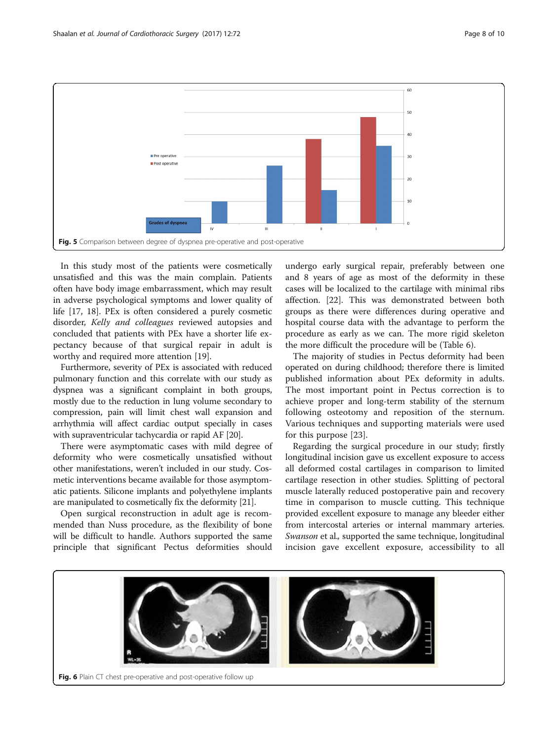<span id="page-7-0"></span>

In this study most of the patients were cosmetically unsatisfied and this was the main complain. Patients often have body image embarrassment, which may result in adverse psychological symptoms and lower quality of life [\[17](#page-9-0), [18](#page-9-0)]. PEx is often considered a purely cosmetic disorder, Kelly and colleagues reviewed autopsies and concluded that patients with PEx have a shorter life expectancy because of that surgical repair in adult is worthy and required more attention [[19\]](#page-9-0).

Furthermore, severity of PEx is associated with reduced pulmonary function and this correlate with our study as dyspnea was a significant complaint in both groups, mostly due to the reduction in lung volume secondary to compression, pain will limit chest wall expansion and arrhythmia will affect cardiac output specially in cases with supraventricular tachycardia or rapid AF [[20](#page-9-0)].

There were asymptomatic cases with mild degree of deformity who were cosmetically unsatisfied without other manifestations, weren't included in our study. Cosmetic interventions became available for those asymptomatic patients. Silicone implants and polyethylene implants are manipulated to cosmetically fix the deformity [[21](#page-9-0)].

Open surgical reconstruction in adult age is recommended than Nuss procedure, as the flexibility of bone will be difficult to handle. Authors supported the same principle that significant Pectus deformities should

undergo early surgical repair, preferably between one and 8 years of age as most of the deformity in these cases will be localized to the cartilage with minimal ribs affection. [\[22](#page-9-0)]. This was demonstrated between both groups as there were differences during operative and hospital course data with the advantage to perform the procedure as early as we can. The more rigid skeleton the more difficult the procedure will be (Table [6\)](#page-5-0).

The majority of studies in Pectus deformity had been operated on during childhood; therefore there is limited published information about PEx deformity in adults. The most important point in Pectus correction is to achieve proper and long-term stability of the sternum following osteotomy and reposition of the sternum. Various techniques and supporting materials were used for this purpose [\[23](#page-9-0)].

Regarding the surgical procedure in our study; firstly longitudinal incision gave us excellent exposure to access all deformed costal cartilages in comparison to limited cartilage resection in other studies. Splitting of pectoral muscle laterally reduced postoperative pain and recovery time in comparison to muscle cutting. This technique provided excellent exposure to manage any bleeder either from intercostal arteries or internal mammary arteries. Swanson et al., supported the same technique, longitudinal incision gave excellent exposure, accessibility to all

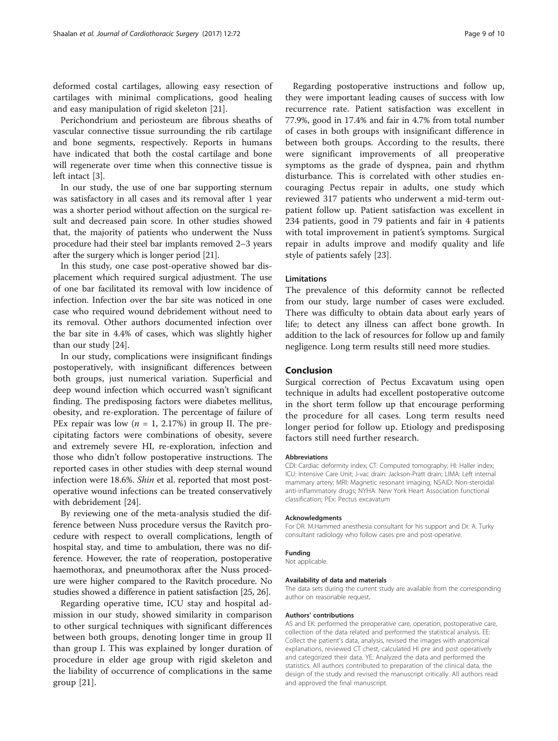deformed costal cartilages, allowing easy resection of cartilages with minimal complications, good healing and easy manipulation of rigid skeleton [[21](#page-9-0)].

Perichondrium and periosteum are fibrous sheaths of vascular connective tissue surrounding the rib cartilage and bone segments, respectively. Reports in humans have indicated that both the costal cartilage and bone will regenerate over time when this connective tissue is left intact [[3\]](#page-9-0).

In our study, the use of one bar supporting sternum was satisfactory in all cases and its removal after 1 year was a shorter period without affection on the surgical result and decreased pain score. In other studies showed that, the majority of patients who underwent the Nuss procedure had their steel bar implants removed 2–3 years after the surgery which is longer period [\[21](#page-9-0)].

In this study, one case post-operative showed bar displacement which required surgical adjustment. The use of one bar facilitated its removal with low incidence of infection. Infection over the bar site was noticed in one case who required wound debridement without need to its removal. Other authors documented infection over the bar site in 4.4% of cases, which was slightly higher than our study [[24\]](#page-9-0).

In our study, complications were insignificant findings postoperatively, with insignificant differences between both groups, just numerical variation. Superficial and deep wound infection which occurred wasn't significant finding. The predisposing factors were diabetes mellitus, obesity, and re-exploration. The percentage of failure of PEx repair was low ( $n = 1$ , 2.17%) in group II. The precipitating factors were combinations of obesity, severe and extremely severe HI, re-exploration, infection and those who didn't follow postoperative instructions. The reported cases in other studies with deep sternal wound infection were 18.6%. Shin et al. reported that most postoperative wound infections can be treated conservatively with debridement [\[24](#page-9-0)].

By reviewing one of the meta-analysis studied the difference between Nuss procedure versus the Ravitch procedure with respect to overall complications, length of hospital stay, and time to ambulation, there was no difference. However, the rate of reoperation, postoperative haemothorax, and pneumothorax after the Nuss procedure were higher compared to the Ravitch procedure. No studies showed a difference in patient satisfaction [[25](#page-9-0), [26\]](#page-9-0).

Regarding operative time, ICU stay and hospital admission in our study, showed similarity in comparison to other surgical techniques with significant differences between both groups, denoting longer time in group II than group I. This was explained by longer duration of procedure in elder age group with rigid skeleton and the liability of occurrence of complications in the same group [\[21](#page-9-0)].

Regarding postoperative instructions and follow up, they were important leading causes of success with low recurrence rate. Patient satisfaction was excellent in 77.9%, good in 17.4% and fair in 4.7% from total number of cases in both groups with insignificant difference in between both groups. According to the results, there were significant improvements of all preoperative symptoms as the grade of dyspnea, pain and rhythm disturbance. This is correlated with other studies encouraging Pectus repair in adults, one study which reviewed 317 patients who underwent a mid-term outpatient follow up. Patient satisfaction was excellent in 234 patients, good in 79 patients and fair in 4 patients with total improvement in patient's symptoms. Surgical repair in adults improve and modify quality and life style of patients safely [[23](#page-9-0)].

## Limitations

The prevalence of this deformity cannot be reflected from our study, large number of cases were excluded. There was difficulty to obtain data about early years of life; to detect any illness can affect bone growth. In addition to the lack of resources for follow up and family negligence. Long term results still need more studies.

#### Conclusion

Surgical correction of Pectus Excavatum using open technique in adults had excellent postoperative outcome in the short term follow up that encourage performing the procedure for all cases. Long term results need longer period for follow up. Etiology and predisposing factors still need further research.

#### Abbreviations

CDI: Cardiac deformity index; CT: Computed tomography; HI: Haller index; ICU: Intensive Care Unit; J-vac drain: Jackson-Pratt drain; LIMA: Left internal mammary artery; MRI: Magnetic resonant imaging; NSAID: Non-steroidal anti-inflammatory drugs; NYHA: New York Heart Association functional classification; PEx: Pectus excavatum

#### Acknowledgments

For DR. M.Hammed anesthesia consultant for his support and Dr. A. Turky consultant radiology who follow cases pre and post-operative.

#### Funding

Not applicable.

#### Availability of data and materials

The data sets during the current study are available from the corresponding author on reasonable request.

#### Authors' contributions

AS and EK: performed the preoperative care, operation, postoperative care, collection of the data related and performed the statistical analysis. EE: Collect the patient's data, analysis, revised the images with anatomical explanations, reviewed CT chest, calculated HI pre and post operatively and categorized their data. YE: Analyzed the data and performed the statistics. All authors contributed to preparation of the clinical data, the design of the study and revised the manuscript critically. All authors read and approved the final manuscript.